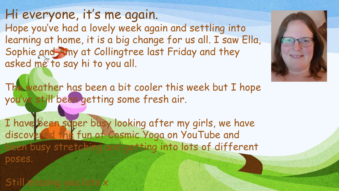Hi everyone, it's me again. Hope you've had a lovely week again and settling into learning at home, it is a big change for us all. I saw Ella, Sophie and Amy at Collingtree last Friday and they asked me to say hi to you all.

The weather has been a bit cooler this week but I hope you've still been getting some fresh air.

I have been super busy looking after my girls, we have discovered the fun of Cosmic Yoga on YouTube and been busy stretching and getting into lots of different poses.

Still missing you lots x

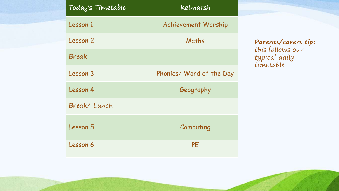| Today's Timetable | Kelmarsh                   |  |  |
|-------------------|----------------------------|--|--|
| Lesson 1          | <b>Achievement Worship</b> |  |  |
| Lesson 2          | Maths                      |  |  |
| Break             |                            |  |  |
| Lesson 3          | Phonics/ Word of the Day   |  |  |
| Lesson 4          | Geography                  |  |  |
| Break/Lunch       |                            |  |  |
| Lesson 5          | Computing                  |  |  |
| Lesson 6          | PE                         |  |  |

**Parents/carers tip:**  this follows our typical daily timetable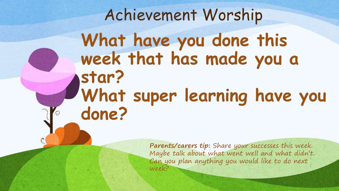# Achievement Worship What have you done this **week that has made you a star? What super learning have you done?**

**Parents/carers tip:** Share your successes this week. Maybe talk about what went well and what didn't. Can you plan anything you would like to do next week?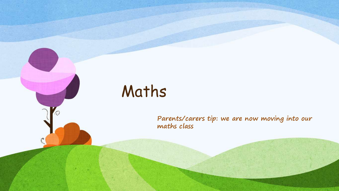# Maths

 $\overline{O}$ 

**Parents/carers tip: we are now moving into our maths class**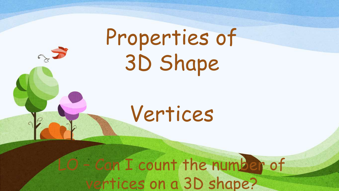Properties of 3D Shape

Vertices

n I count the number of rtices on a 3D shape?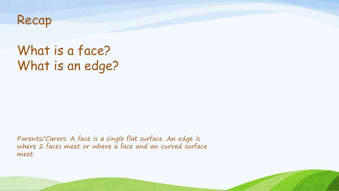

## What is a face? What is an edge?

Parents/Carers: A face is a single flat surface. An edge is where 2 faces meet or where a face and an curved surface meet.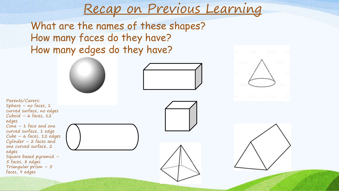# Recap on Previous Learning

What are the names of these shapes? How many faces do they have? How many edges do they have?







Parents/Carers: Sphere – no faces,  $1$ curved surface, no edges Cuboid –  $6$  faces, 12 edges Cone – 1 face and one curved surface, 1 edge Cube – 6 faces, 12 edges Cylinder – 2 faces and one curved surface, 2 edges Square based pyramid – 5 faces, 8 edges Triangular prism  $-5$ faces, 9 edges





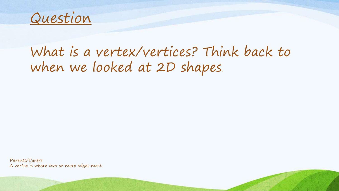

### What is a vertex/vertices? Think back to when we looked at 2D shapes.

Parents/Carers: A vertex is where two or more edges meet.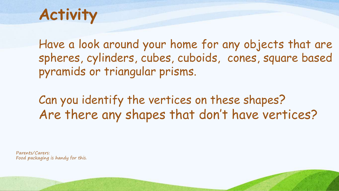# **Activity**

Have a look around your home for any objects that are spheres, cylinders, cubes, cuboids, cones, square based pyramids or triangular prisms.

Can you identify the vertices on these shapes? Are there any shapes that don't have vertices?

Parents/Carers: Food packaging is handy for this.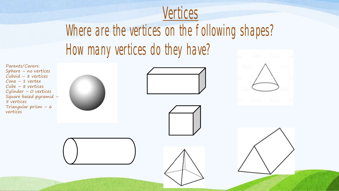

Where are the vertices on the following shapes? How many vertices do they have?

Parents/Carers: Sphere – no vertices Cuboid – 8 vertices Cone – 1 vertex Cube – 8 vertices Cylinder – 0 vertices Square based pyramid – 5 vertices Triangular prism – 6 vertices









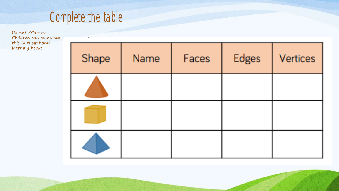

Parents/Carers: Children can complete this in their home learning books

| Shape | Name | Faces | Edges | Vertices |
|-------|------|-------|-------|----------|
|       |      |       |       |          |
|       |      |       |       |          |
|       |      |       |       |          |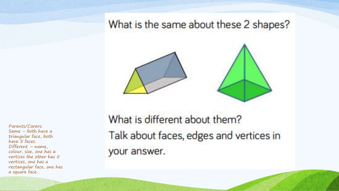What is the same about these 2 shapes?



What is different about them? Talk about faces, edges and vertices in your answer.

Parents/Carers: Same – both have a triangular face, both have 5 faces. Different – name, colour, size, one has 6 vertices the other has 5 vertices, one has a rectangular face, one has a square face…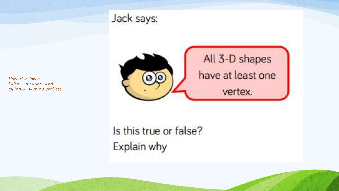

### Jack says:



Is this true or false? Explain why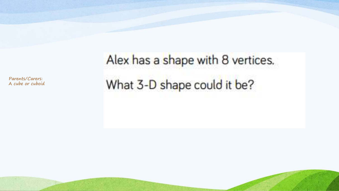Parents/Carers: A cube or cuboid

# Alex has a shape with 8 vertices. What 3-D shape could it be?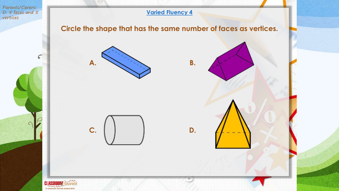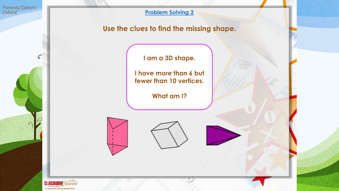Parents/Carers: Cuboid

 $\epsilon$ 

#### **Problem Solving 2**

#### **Use the clues to find the missing shape.**

**I am a 3D shape.** 

**I have more than 6 but fewer than 10 vertices.** 

**What am I?** 

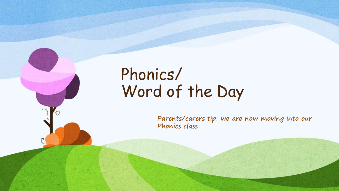# Phonics/ Word of the Day

 $\varOmega$ 

**Parents/carers tip: we are now moving into our Phonics class**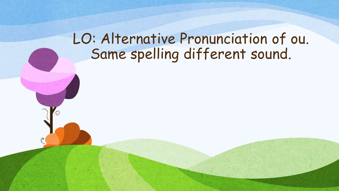## LO: Alternative Pronunciation of ou. Same spelling different sound.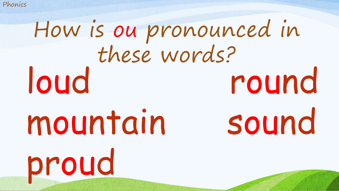# loud round mountain sound proud How is ou pronounced in these words?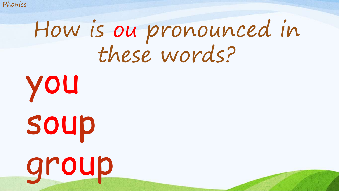# How is ou pronounced in these words?

you soup group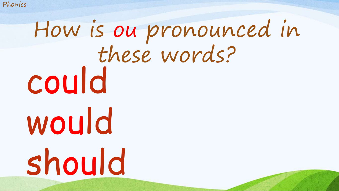# could would should How is ou pronounced in these words?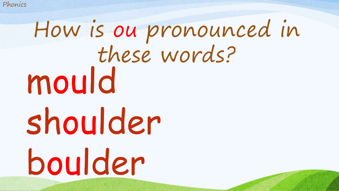# mould shoulder boulder How is ou pronounced in these words?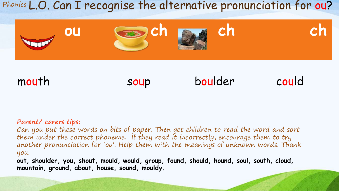Phonics L.O. Can I recognise the alternative pronunciation for ou?



**Parent/ carers tips:**

Can you put these words on bits of paper. Then get children to read the word and sort them under the correct phoneme. If they read it incorrectly, encourage them to try another pronunciation for 'ou'. Help them with the meanings of unknown words. Thank you.

**out, shoulder, you, shout, mould, would, group, found, should, hound, soul, south, cloud, mountain, ground, about, house, sound, mouldy.**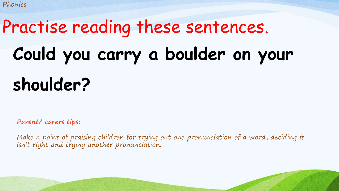# **Could you carry a boulder on your shoulder?** Practise reading these sentences.

**Parent/ carers tips:**

Make a point of praising children for trying out one pronunciation of a word, deciding it isn't right and trying another pronunciation.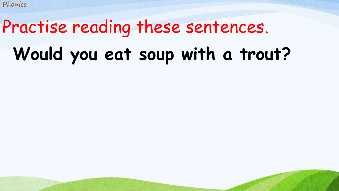# **Would you eat soup with a trout?** Practise reading these sentences.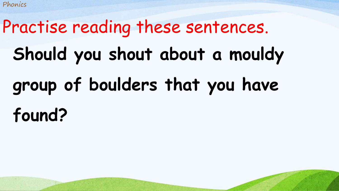# **Should you shout about a mouldy group of boulders that you have found?** Practise reading these sentences.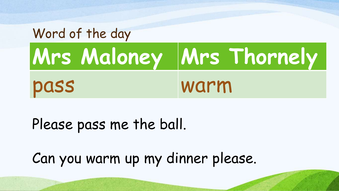

## Please pass me the ball.

Can you warm up my dinner please.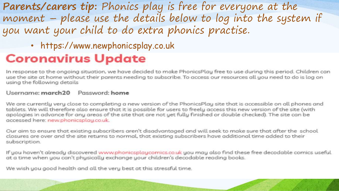**Parents/carers tip:** Phonics play is free for everyone at the moment – please use the details below to log into the system if you want your child to do extra phonics practise.

• https://www.newphonicsplay.co.uk

#### **Coronavirus Update**

In response to the ongoing situation, we have decided to make PhonicsPlay free to use during this period. Children can use the site at home without their parents needing to subscribe. To access our resources all you need to do is log on using the following details

#### Username: march20 Password: home

We are currently very close to completing a new version of the PhonicsPlay site that is accessible on all phones and tablets. We will therefore also ensure that it is possible for users to freely access this new version of the site (with apologies in advance for any areas of the site that are not yet fully finished or double checked). The site can be accessed here: new.phonicsplau.co.uk.

Our aim to ensure that existing subscribers aren't disadvantaged and will seek to make sure that after the school closures are over and the site returns to normal, that existing subscribers have additional time added to their subscription.

If you haven't already discovered www.phonicsplaycomics.co.uk you may also find these free decodable comics useful at a time when you can't physically exchange your children's decodable reading books.

We wish you good health and all the very best at this stressful time.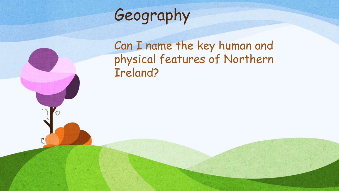

Ο

Can I name the key human and physical features of Northern Ireland?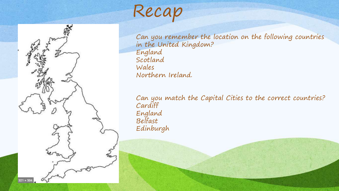Recap



Can you remember the location on the following countries in the United Kingdom? England Scotland Wales Northern Ireland.

Can you match the Capital Cities to the correct countries? Cardiff England Belfast Edinburgh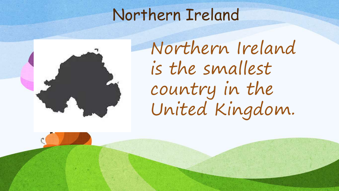

Northern Ireland is the smallest country in the United Kingdom.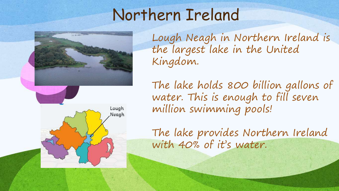

The lake holds 800 billion gallons of water. This is enough to fill seven million swimming pools! Lough Neagh

Kingdom.

The lake provides Northern Ireland with 40% of it's water.

Lough Neagh in Northern Ireland is

the largest lake in the United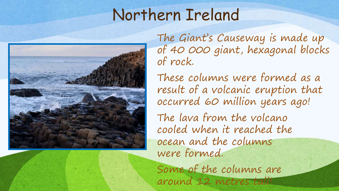

The Giant's Causeway is made up of 40 000 giant, hexagonal blocks of rock.

These columns were formed as a result of a volcanic eruption that occurred 60 million years ago!

The lava from the volcano cooled when it reached the ocean and the columns were formed.

Some of the columns are around 12 metres tall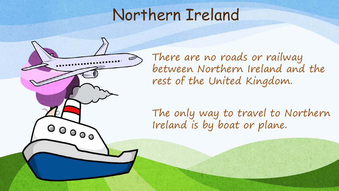

There are no roads or railway between Northern Ireland and the rest of the United Kingdom.

The only way to travel to Northern Ireland is by boat or plane.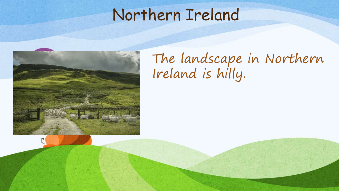

## The landscape in Northern Ireland is hilly.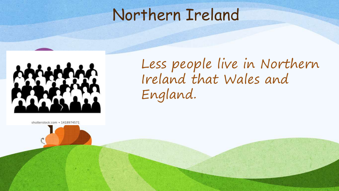

Less people live in Northern Ireland that Wales and England.

shutterstock.com · 1418974571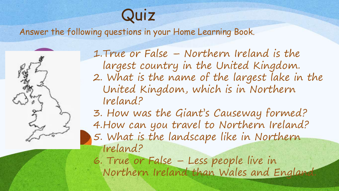# Quiz

Answer the following questions in your Home Learning Book.



1.True or False – Northern Ireland is the largest country in the United Kingdom. 2. What is the name of the largest lake in the United Kingdom, which is in Northern Ireland?

3. How was the Giant's Causeway formed? 4.How can you travel to Northern Ireland? 5. What is the landscape like in Northern Ireland?

6. True or False – Less people live in Northern Ireland than Wales and England.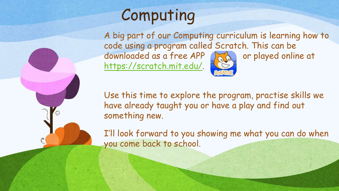

# Computing

A big part of our Computing curriculum is learning how to code using a program called Scratch. This can be downloaded as a free APP and or played online at <https://scratch.mit.edu/>.

Use this time to explore the program, practise skills we have already taught you or have a play and find out something new.

I'll look forward to you showing me what you can do when you come back to school.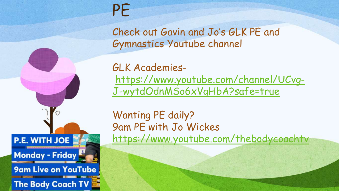

# PE

Check out Gavin and Jo's GLK PE and Gymnastics Youtube channel

GLK Academies[https://www.youtube.com/channel/UCvg-](https://www.youtube.com/channel/UCvg-J-wytdOdnMSo6xVgHbA?safe=true)J-wytdOdnMSo6xVgHbA?safe=true

Wanting PE daily? 9am PE with Jo Wickes <https://www.youtube.com/thebodycoachtv>